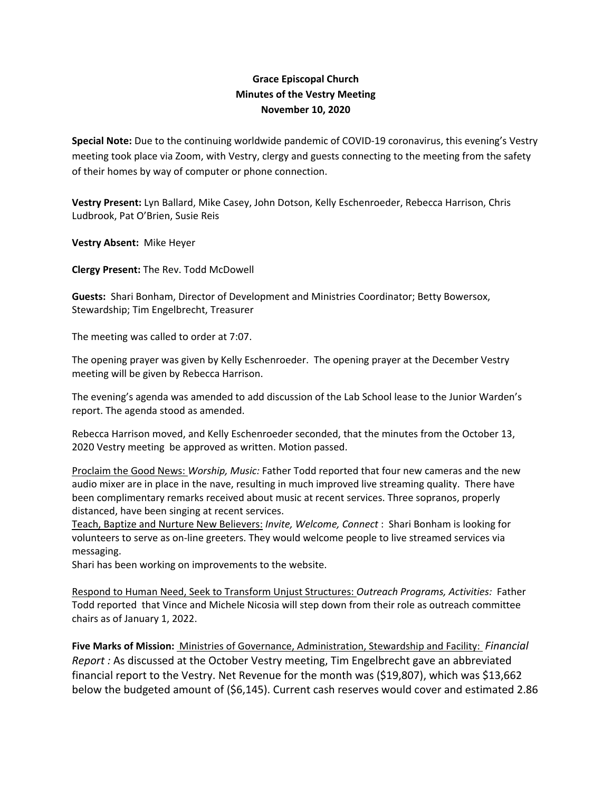## **Grace Episcopal Church Minutes of the Vestry Meeting November 10, 2020**

**Special Note:** Due to the continuing worldwide pandemic of COVID‐19 coronavirus, this evening's Vestry meeting took place via Zoom, with Vestry, clergy and guests connecting to the meeting from the safety of their homes by way of computer or phone connection.

**Vestry Present:** Lyn Ballard, Mike Casey, John Dotson, Kelly Eschenroeder, Rebecca Harrison, Chris Ludbrook, Pat O'Brien, Susie Reis

**Vestry Absent:** Mike Heyer

**Clergy Present:** The Rev. Todd McDowell

**Guests:** Shari Bonham, Director of Development and Ministries Coordinator; Betty Bowersox, Stewardship; Tim Engelbrecht, Treasurer

The meeting was called to order at 7:07.

The opening prayer was given by Kelly Eschenroeder. The opening prayer at the December Vestry meeting will be given by Rebecca Harrison.

The evening's agenda was amended to add discussion of the Lab School lease to the Junior Warden's report. The agenda stood as amended.

Rebecca Harrison moved, and Kelly Eschenroeder seconded, that the minutes from the October 13, 2020 Vestry meeting be approved as written. Motion passed.

Proclaim the Good News: *Worship, Music:* Father Todd reported that four new cameras and the new audio mixer are in place in the nave, resulting in much improved live streaming quality. There have been complimentary remarks received about music at recent services. Three sopranos, properly distanced, have been singing at recent services.

Teach, Baptize and Nurture New Believers: *Invite, Welcome, Connect* : Shari Bonham is looking for volunteers to serve as on‐line greeters. They would welcome people to live streamed services via messaging.

Shari has been working on improvements to the website.

Respond to Human Need, Seek to Transform Unjust Structures: *Outreach Programs, Activities:* Father Todd reported that Vince and Michele Nicosia will step down from their role as outreach committee chairs as of January 1, 2022.

**Five Marks of Mission:** Ministries of Governance, Administration, Stewardship and Facility: *Financial Report :* As discussed at the October Vestry meeting, Tim Engelbrecht gave an abbreviated financial report to the Vestry. Net Revenue for the month was (\$19,807), which was \$13,662 below the budgeted amount of (\$6,145). Current cash reserves would cover and estimated 2.86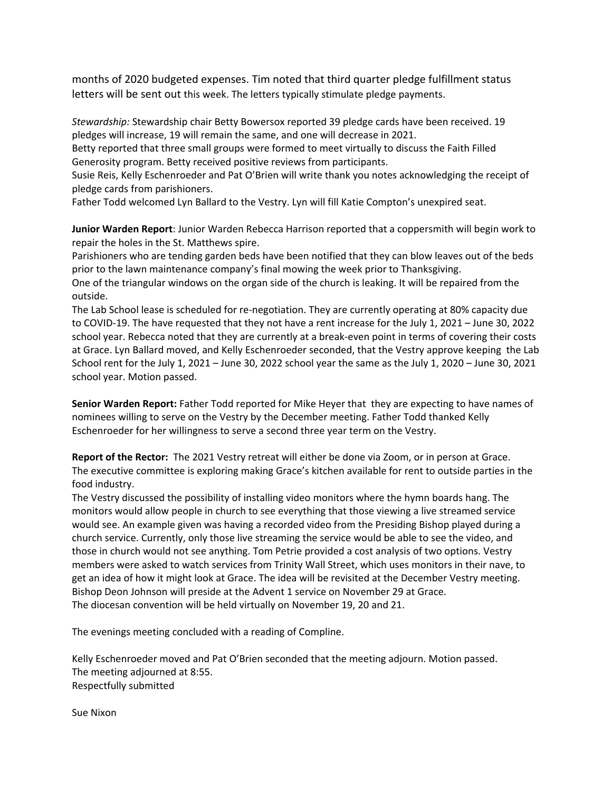months of 2020 budgeted expenses. Tim noted that third quarter pledge fulfillment status letters will be sent out this week. The letters typically stimulate pledge payments.

*Stewardship:* Stewardship chair Betty Bowersox reported 39 pledge cards have been received. 19 pledges will increase, 19 will remain the same, and one will decrease in 2021.

Betty reported that three small groups were formed to meet virtually to discuss the Faith Filled Generosity program. Betty received positive reviews from participants.

Susie Reis, Kelly Eschenroeder and Pat O'Brien will write thank you notes acknowledging the receipt of pledge cards from parishioners.

Father Todd welcomed Lyn Ballard to the Vestry. Lyn will fill Katie Compton's unexpired seat.

**Junior Warden Report**: Junior Warden Rebecca Harrison reported that a coppersmith will begin work to repair the holes in the St. Matthews spire.

Parishioners who are tending garden beds have been notified that they can blow leaves out of the beds prior to the lawn maintenance company's final mowing the week prior to Thanksgiving.

One of the triangular windows on the organ side of the church is leaking. It will be repaired from the outside.

The Lab School lease is scheduled for re‐negotiation. They are currently operating at 80% capacity due to COVID‐19. The have requested that they not have a rent increase for the July 1, 2021 – June 30, 2022 school year. Rebecca noted that they are currently at a break‐even point in terms of covering their costs at Grace. Lyn Ballard moved, and Kelly Eschenroeder seconded, that the Vestry approve keeping the Lab School rent for the July 1, 2021 – June 30, 2022 school year the same as the July 1, 2020 – June 30, 2021 school year. Motion passed.

**Senior Warden Report:** Father Todd reported for Mike Heyer that they are expecting to have names of nominees willing to serve on the Vestry by the December meeting. Father Todd thanked Kelly Eschenroeder for her willingness to serve a second three year term on the Vestry.

**Report of the Rector:** The 2021 Vestry retreat will either be done via Zoom, or in person at Grace. The executive committee is exploring making Grace's kitchen available for rent to outside parties in the food industry.

The Vestry discussed the possibility of installing video monitors where the hymn boards hang. The monitors would allow people in church to see everything that those viewing a live streamed service would see. An example given was having a recorded video from the Presiding Bishop played during a church service. Currently, only those live streaming the service would be able to see the video, and those in church would not see anything. Tom Petrie provided a cost analysis of two options. Vestry members were asked to watch services from Trinity Wall Street, which uses monitors in their nave, to get an idea of how it might look at Grace. The idea will be revisited at the December Vestry meeting. Bishop Deon Johnson will preside at the Advent 1 service on November 29 at Grace. The diocesan convention will be held virtually on November 19, 20 and 21.

The evenings meeting concluded with a reading of Compline.

Kelly Eschenroeder moved and Pat O'Brien seconded that the meeting adjourn. Motion passed. The meeting adjourned at 8:55. Respectfully submitted

Sue Nixon